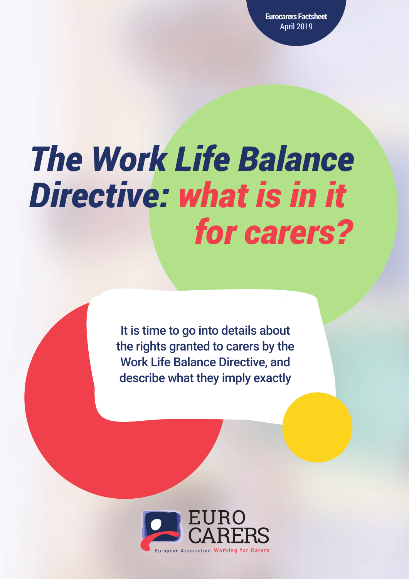**Eurocarers Factsheet** April 2019

# *The Work Life Balance Directive: what is in it for carers?*

It is time to go into details about the rights granted to carers by the Work Life Balance Directive, and describe what they imply exactly

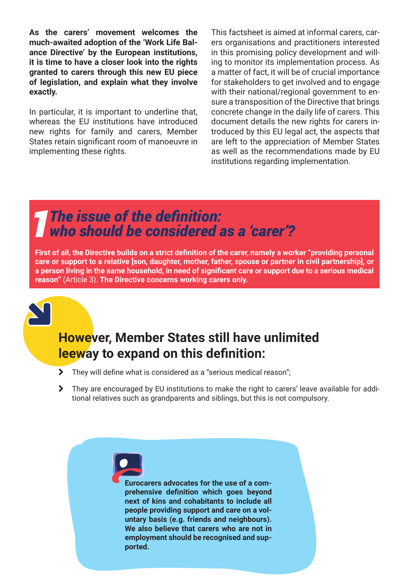**As the carers' movement welcomes the much-awaited adoption of the 'Work Life Balance Directive' by the European institutions, it is time to have a closer look into the rights granted to carers through this new EU piece of legislation, and explain what they involve exactly.**

In particular, it is important to underline that, whereas the EU institutions have introduced new rights for family and carers, Member States retain significant room of manoeuvre in implementing these rights.

This factsheet is aimed at informal carers, carers organisations and practitioners interested in this promising policy development and willing to monitor its implementation process. As a matter of fact, it will be of crucial importance for stakeholders to get involved and to engage with their national/regional government to ensure a transposition of the Directive that brings concrete change in the daily life of carers. This document details the new rights for carers introduced by this EU legal act, the aspects that are left to the appreciation of Member States as well as the recommendations made by EU institutions regarding implementation.

*1The issue of the definition: who should be considered as a 'carer'?*

**First of all, the Directive builds on a strict definition of the carer, namely a worker "providing personal care or support to a relative [son, daughter, mother, father, spouse or partner in civil partnership], or a person living in the same household, in need of significant care or support due to a serious medical reason"** (Article 3). **The Directive concerns working carers only.**



#### **However, Member States still have unlimited leeway to expand on this definition:**

- > They will define what is considered as a "serious medical reason";
- > They are encouraged by EU institutions to make the right to carers' leave available for additional relatives such as grandparents and siblings, but this is not compulsory.

**Eurocarers advocates for the use of a comprehensive definition which goes beyond next of kins and cohabitants to include all people providing support and care on a voluntary basis (e.g. friends and neighbours). We also believe that carers who are not in employment should be recognised and supported.**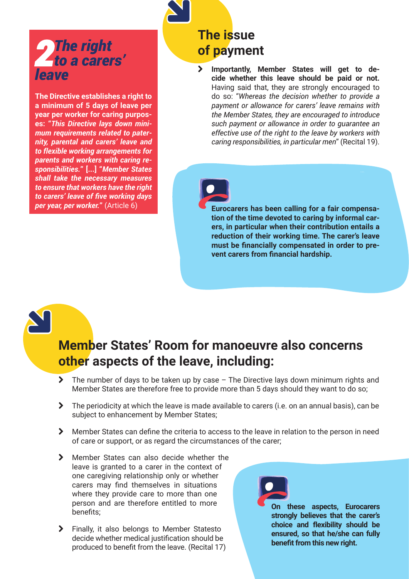## *2The right to a carers' leave*

**The Directive establishes a right to a minimum of 5 days of leave per year per worker for caring purposes: "***This Directive lays down minimum requirements related to paternity, parental and carers' leave and to flexible working arrangements for parents and workers with caring responsibilities.***" [...] "***Member States shall take the necessary measures to ensure that workers have the right to carers' leave of five working days per year, per worker.***"** (Article 6)

## **The issue of payment**

¦ **Importantly, Member States will get to decide whether this leave should be paid or not.**  Having said that, they are strongly encouraged to do so: "*Whereas the decision whether to provide a payment or allowance for carers' leave remains with the Member States, they are encouraged to introduce such payment or allowance in order to guarantee an effective use of the right to the leave by workers with caring responsibilities, in particular men*" (Recital 19).



**Eurocarers has been calling for a fair compensation of the time devoted to caring by informal carers, in particular when their contribution entails a reduction of their working time. The carer's leave must be financially compensated in order to prevent carers from financial hardship.** 

### **Member States' Room for manoeuvre also concerns other aspects of the leave, including:**

- $\blacktriangleright$  The number of days to be taken up by case The Directive lays down minimum rights and Member States are therefore free to provide more than 5 days should they want to do so;
- $\blacktriangleright$  The periodicity at which the leave is made available to carers (i.e. on an annual basis), can be subject to enhancement by Member States;
- **◆** Member States can define the criteria to access to the leave in relation to the person in need of care or support, or as regard the circumstances of the carer;
- > Member States can also decide whether the leave is granted to a carer in the context of one caregiving relationship only or whether carers may find themselves in situations where they provide care to more than one person and are therefore entitled to more benefits;
- > Finally, it also belongs to Member Statesto decide whether medical justification should be produced to benefit from the leave. (Recital 17)

**On these aspects, Eurocarers strongly believes that the carer's choice and flexibility should be ensured, so that he/she can fully benefit from this new right.**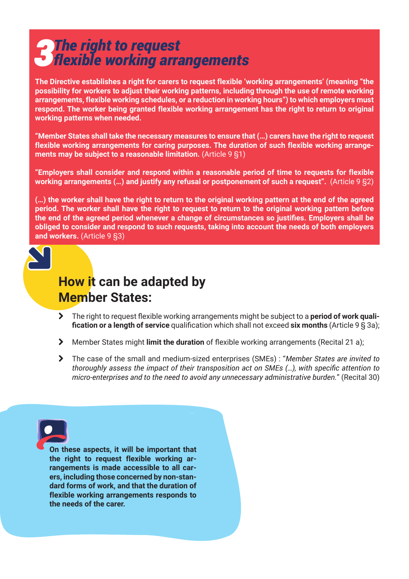# *3The right to request flexible working arrangements*

**The Directive establishes a right for carers to request flexible 'working arrangements' (meaning "the possibility for workers to adjust their working patterns, including through the use of remote working arrangements, flexible working schedules, or a reduction in working hours") to which employers must respond. The worker being granted flexible working arrangement has the right to return to original working patterns when needed.** 

**"Member States shall take the necessary measures to ensure that (…) carers have the right to request flexible working arrangements for caring purposes. The duration of such flexible working arrangements may be subject to a reasonable limitation.** (Article 9 §1)

**"Employers shall consider and respond within a reasonable period of time to requests for flexible working arrangements (…) and justify any refusal or postponement of such a request".** (Article 9 §2)

**(…) the worker shall have the right to return to the original working pattern at the end of the agreed period. The worker shall have the right to request to return to the original working pattern before the end of the agreed period whenever a change of circumstances so justifies. Employers shall be obliged to consider and respond to such requests, taking into account the needs of both employers and workers.** (Article 9 §3)



### **How it can be adapted by Member States:**

- > The right to request flexible working arrangements might be subject to a **period of work qualification or a length of service** qualification which shall not exceed **six months** (Article 9 § 3a);
- ¦ Member States might **limit the duration** of flexible working arrangements (Recital 21 a);
- ¦ The case of the small and medium-sized enterprises (SMEs) : "*Member States are invited to thoroughly assess the impact of their transposition act on SMEs (…), with specific attention to micro-enterprises and to the need to avoid any unnecessary administrative burden.*" (Recital 30)



**On these aspects, it will be important that the right to request flexible working arrangements is made accessible to all carers, including those concerned by non-standard forms of work, and that the duration of flexible working arrangements responds to the needs of the carer.**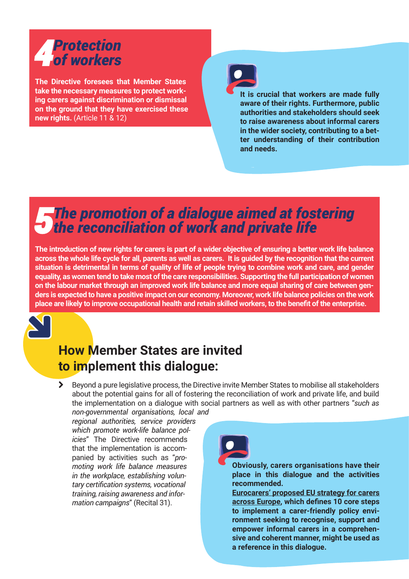# *4Protection of workers*

**The Directive foresees that Member States take the necessary measures to protect working carers against discrimination or dismissal on the ground that they have exercised these new rights.** (Article 11 & 12)



**It is crucial that workers are made fully aware of their rights. Furthermore, public authorities and stakeholders should seek to raise awareness about informal carers in the wider society, contributing to a better understanding of their contribution and needs.** 

# *5The promotion of a dialogue aimed at fostering the reconciliation of work and private life*

**The introduction of new rights for carers is part of a wider objective of ensuring a better work life balance across the whole life cycle for all, parents as well as carers. It is guided by the recognition that the current situation is detrimental in terms of quality of life of people trying to combine work and care, and gender equality, as women tend to take most of the care responsibilities. Supporting the full participation of women on the labour market through an improved work life balance and more equal sharing of care between genders is expected to have a positive impact on our economy. Moreover, work life balance policies on the work place are likely to improve occupational health and retain skilled workers, to the benefit of the enterprise.** 



#### **How Member States are invited to implement this dialogue:**

**→** Beyond a pure legislative process, the Directive invite Member States to mobilise all stakeholders about the potential gains for all of fostering the reconciliation of work and private life, and build the implementation on a dialogue with social partners as well as with other partners "*such as* 

*non-governmental organisations, local and regional authorities, service providers which promote work-life balance policies*" The Directive recommends that the implementation is accompanied by activities such as "*promoting work life balance measures in the workplace, establishing voluntary certification systems, vocational training, raising awareness and information campaigns*" (Recital 31).



**Obviously, carers organisations have their place in this dialogue and the activities recommended.**

**[Eurocarers' proposed EU strategy for carers](https://eurocarers.org/download/5315/)  [across Europe](https://eurocarers.org/download/5315/), which defines 10 core steps to implement a carer-friendly policy environment seeking to recognise, support and empower informal carers in a comprehensive and coherent manner, might be used as a reference in this dialogue.**